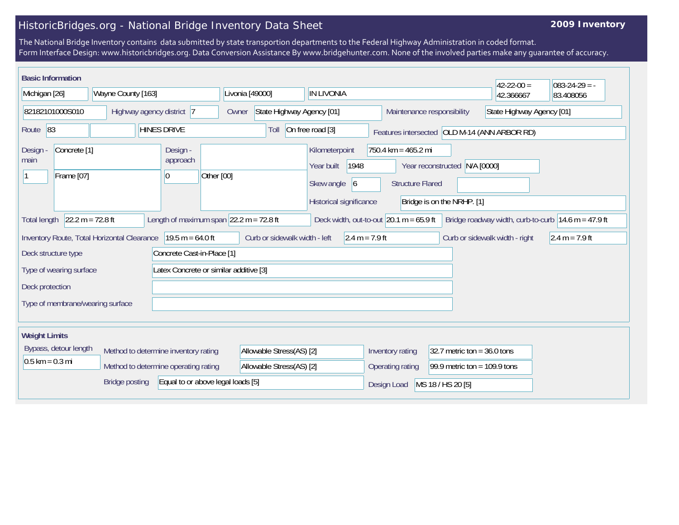## HistoricBridges.org - National Bridge Inventory Data Sheet

## **2009 Inventory**

The National Bridge Inventory contains data submitted by state transportion departments to the Federal Highway Administration in coded format. Form Interface Design: www.historicbridges.org. Data Conversion Assistance By www.bridgehunter.com. None of the involved parties make any guarantee of accuracy.

| <b>Basic Information</b>                                                                                                                                                                                     |  |                            |                                                         |                                                                                     |                                                |                                                             | $42 - 22 - 00 =$ | $083 - 24 - 29 = -$ |
|--------------------------------------------------------------------------------------------------------------------------------------------------------------------------------------------------------------|--|----------------------------|---------------------------------------------------------|-------------------------------------------------------------------------------------|------------------------------------------------|-------------------------------------------------------------|------------------|---------------------|
| Wayne County [163]<br>Michigan [26]                                                                                                                                                                          |  | Livonia [49000]            | <b>IN LIVONIA</b>                                       |                                                                                     |                                                | 42.366667                                                   | 83.408056        |                     |
| 82182101000S010<br>Highway agency district 7                                                                                                                                                                 |  | Owner                      | State Highway Agency [01]<br>Maintenance responsibility |                                                                                     | State Highway Agency [01]                      |                                                             |                  |                     |
| Route <sup>83</sup>                                                                                                                                                                                          |  | <b>HINES DRIVE</b>         | Toll                                                    | On free road [3]<br>Features intersected OLD M-14 (ANN ARBOR RD)                    |                                                |                                                             |                  |                     |
| Concrete <sup>[1]</sup><br><b>Design</b><br>main<br>Frame [07]                                                                                                                                               |  | Design -<br>approach<br>10 | Other [00]                                              | Kilometerpoint<br>1948<br>Year built<br>Skew angle<br> 6<br>Historical significance | 750.4 km = 465.2 mi<br><b>Structure Flared</b> | Year reconstructed N/A [0000]<br>Bridge is on the NRHP. [1] |                  |                     |
| $22.2 m = 72.8 ft$<br>Length of maximum span $ 22.2 \text{ m} = 72.8 \text{ ft} $<br>Deck width, out-to-out $20.1 m = 65.9 ft$<br>Bridge roadway width, curb-to-curb 14.6 m = 47.9 ft<br><b>Total length</b> |  |                            |                                                         |                                                                                     |                                                |                                                             |                  |                     |
| Inventory Route, Total Horizontal Clearance<br>$19.5 m = 64.0 ft$                                                                                                                                            |  |                            |                                                         | Curb or sidewalk width - left<br>$2.4 m = 7.9 ft$                                   |                                                | Curb or sidewalk width - right                              | $2.4 m = 7.9 ft$ |                     |
| Concrete Cast-in-Place [1]<br>Deck structure type                                                                                                                                                            |  |                            |                                                         |                                                                                     |                                                |                                                             |                  |                     |
| Latex Concrete or similar additive [3]<br>Type of wearing surface                                                                                                                                            |  |                            |                                                         |                                                                                     |                                                |                                                             |                  |                     |
| Deck protection                                                                                                                                                                                              |  |                            |                                                         |                                                                                     |                                                |                                                             |                  |                     |
| Type of membrane/wearing surface                                                                                                                                                                             |  |                            |                                                         |                                                                                     |                                                |                                                             |                  |                     |
|                                                                                                                                                                                                              |  |                            |                                                         |                                                                                     |                                                |                                                             |                  |                     |
| <b>Weight Limits</b>                                                                                                                                                                                         |  |                            |                                                         |                                                                                     |                                                |                                                             |                  |                     |
| Bypass, detour length<br>Method to determine inventory rating                                                                                                                                                |  | Allowable Stress(AS) [2]   |                                                         | Inventory rating<br>32.7 metric ton = $36.0$ tons                                   |                                                |                                                             |                  |                     |
| $0.5$ km = 0.3 mi<br>Method to determine operating rating                                                                                                                                                    |  | Allowable Stress(AS) [2]   |                                                         | 99.9 metric ton = $109.9$ tons<br>Operating rating                                  |                                                |                                                             |                  |                     |
| Equal to or above legal loads [5]<br><b>Bridge posting</b>                                                                                                                                                   |  |                            |                                                         |                                                                                     | Design Load                                    | MS 18 / HS 20 [5]                                           |                  |                     |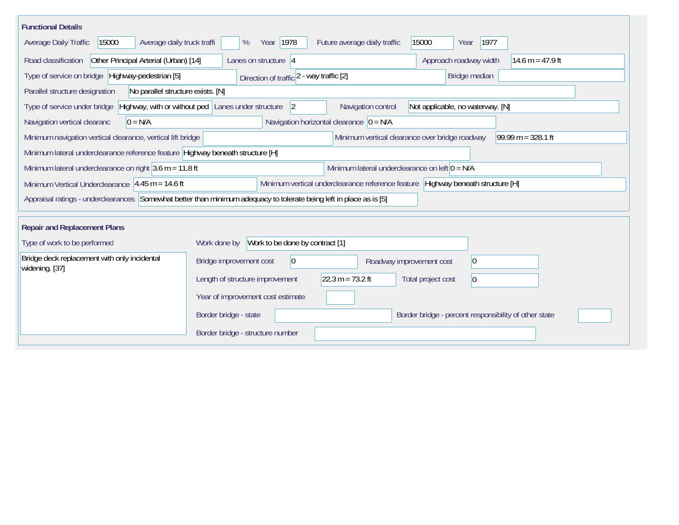| <b>Functional Details</b>                                                                                                                                       |                                                                                            |  |  |  |  |  |  |
|-----------------------------------------------------------------------------------------------------------------------------------------------------------------|--------------------------------------------------------------------------------------------|--|--|--|--|--|--|
| Average daily truck traffi<br><b>Average Daily Traffic</b><br>15000                                                                                             | Year 1978<br>Future average daily traffic<br>15000<br>1977<br>%<br>Year                    |  |  |  |  |  |  |
| Other Principal Arterial (Urban) [14]<br>Road classification<br>Lanes on structure 4<br>Approach roadway width<br>14.6 m = $47.9$ ft                            |                                                                                            |  |  |  |  |  |  |
| Type of service on bridge Highway-pedestrian [5]<br>Bridge median<br>Direction of traffic 2 - way traffic [2]                                                   |                                                                                            |  |  |  |  |  |  |
| Parallel structure designation<br>No parallel structure exists. [N]                                                                                             |                                                                                            |  |  |  |  |  |  |
| Highway, with or without ped Lanes under structure<br>Navigation control<br>Not applicable, no waterway. [N]<br>Type of service under bridge<br>$\vert 2 \vert$ |                                                                                            |  |  |  |  |  |  |
| Navigation vertical clearanc<br>$0 = N/A$                                                                                                                       | Navigation horizontal clearance $\vert$ 0 = N/A                                            |  |  |  |  |  |  |
| Minimum navigation vertical clearance, vertical lift bridge                                                                                                     | Minimum vertical clearance over bridge roadway<br>$99.99 m = 328.1 ft$                     |  |  |  |  |  |  |
| Minimum lateral underclearance reference feature Highway beneath structure [H]                                                                                  |                                                                                            |  |  |  |  |  |  |
| Minimum lateral underclearance on right $3.6$ m = 11.8 ft                                                                                                       | Minimum lateral underclearance on left $0 = N/A$                                           |  |  |  |  |  |  |
| Minimum vertical underclearance reference feature Highway beneath structure [H]<br>Minimum Vertical Underclearance $ 4.45 \text{ m} = 14.6 \text{ ft} $         |                                                                                            |  |  |  |  |  |  |
| Appraisal ratings - underclearances Somewhat better than minimum adequacy to tolerate being left in place as is [5]                                             |                                                                                            |  |  |  |  |  |  |
| <b>Repair and Replacement Plans</b>                                                                                                                             |                                                                                            |  |  |  |  |  |  |
| Type of work to be performed                                                                                                                                    | Work to be done by contract [1]<br>Work done by                                            |  |  |  |  |  |  |
| Bridge deck replacement with only incidental<br>widening. [37]                                                                                                  | Bridge improvement cost<br>$ 0\rangle$<br>$ 0\rangle$<br>Roadway improvement cost          |  |  |  |  |  |  |
|                                                                                                                                                                 | $22.3 m = 73.2 ft$<br>Length of structure improvement<br>Total project cost<br>$ 0\rangle$ |  |  |  |  |  |  |
|                                                                                                                                                                 | Year of improvement cost estimate                                                          |  |  |  |  |  |  |
|                                                                                                                                                                 | Border bridge - state<br>Border bridge - percent responsibility of other state             |  |  |  |  |  |  |
|                                                                                                                                                                 | Border bridge - structure number                                                           |  |  |  |  |  |  |